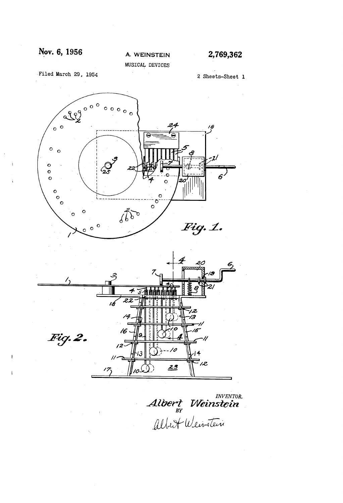

 $\overline{1}$ 

 $\mathbf{I}$ 

MUSICAL. DEVICES

Filed March 29, 1954 2 Sheets-Sheet 1





IN V EN TOR. Albert Weins<del>t</del>ein , Albert Weinstein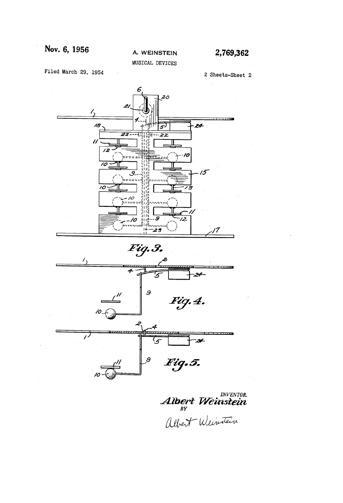A. WEINSTEIN

MUSICAL DEVICES

Filed March 29, 1954

2 Sheets-Sheet 2



INVENTOR<br>Albert Weinstein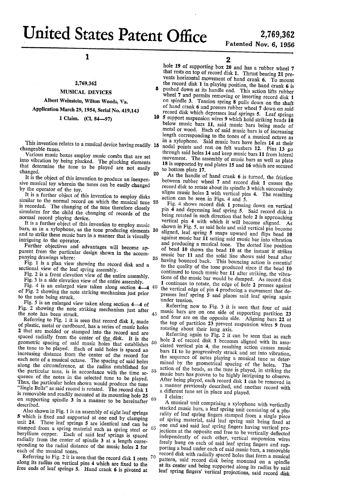20

5

1

## 2,769,362

## MUSICAL DEVICES

Albert Weinstein, Wilton Woods, Va.

Application March 29, 1954, Serial No. 419,143

1 Claim. (Cl. 84—97)

I has invention relates to a musical device having readily 15 changeable tunes.

Various music boxes employ music combs that are set into vibration by being plucked. The plucking elements that determine the tune to be played are not easily changed.

It is the object of this invention to produce an inexpen sive musical toy wherein the tunes can be easily changed by the operator of the toy.

It is a further object of this invention to employ disks similar to the normal record on which the musical tune 25 is recorded. The changing of the tune therefore closely simulates for the child the changing of records of the normal record playing device.

It is a further object of this invention to employ music bars, as in a Xylophone, as the tone producing elements 30 and to strike these music bars in a manner that is visually intriguing to the operator.

Further objectives and advantages will become ap parent from the particular design shown in the accom 35

panying drawings where:<br>Fig. 1 is a plan view showing the record disk and a sectional view of the leaf spring assembly.

Fig. 2 is a front elevation view of the entire assembly.

Fig. 3 is a side elevation view of the entire assembly.

Fig. 4 is an enlarged view taken along section  $4-4$  40 of Fig. 2 showing the note striking mechanism just prior to the note being struck.

Fig. 5 is an enlarged view taken along section 4—4 of Fig. 2 showing the note striking mechanism just after the note has been struck.  $45$ 

Referring to Fig. 1 it is seen that record disk 1, made of plastic, metal or cardboard, has a series of music holes 2 that are molded or stamped into the record and are spaced radially from the center of the disk. It is the geometric spacing of said music holes that establishes the tune to be played. Each of said holes is spaced an increasing distance from the center of the record for each note of a musical octave. The spacing of said holes along the circumference, at the radius established for the particular tone, is in accordance with the time sequence of the notes in the selected tune to be played. Thus, the particular holes shown would produce the tune "Jingle Bells" as said record is rotated. The record disk 1 is removable and readily mounted at its mounting hole 25 on supporting spindle  $3$  in a manner to be hereinafter  $60$ described.

Also shown in Fig. 1 is an assembly of eight leaf springs 5 which is fixed and supported at one end by clamping unit 24. These leaf springs 5 are identical and can be stamped from a spring material such as spring steel or beryllium copper. Each of said leaf springs is spaced radially from the center of spindle 3 at a length corre sponding to the radial distance of the music holes 2 for each of the musical tones.

Referring to Fig. 2 it is seen that the record disk 1 rests  $70<sup>70</sup>$ along its radius on vertical pins 4 which are fixed to the free ends of leaf springs 5. Hand crank 6 is pivoted at

2

10 5 support suspension wires 9 which hold striking beads 10 hole 19 of supporting box 20 and has a rubber wheel 7 that rests on top of record disk 1. Thrust bearing 21 pre vents horizontal movement of hand crank 6. To mount the record disk 1 in playing position, the hand crank 6 is pushed down at its handle end. This action lifts rubber wheel 7 and permits removing or inserting record disk 1 on spindle 3. Tension spring 8 pulls down on the shaft of hand crank 6 and presses rubber wheel 7 down on said record disk which depresses leaf springs 5. Leaf springs below music bars 11, said music bars being made of metal or wood. Each of said music bars is of increasing

length corresponding to the tones of a musical octave as in a Xylophone. Said music bars have holes 14 at their nodal points and rest on felt washers 12. Pins 13 go through said holes 14 and keep music bars 11 from lateral movement. The assembly of music bars as well as plate 18 is supported by end plates 15 and 16 which are secured to bottom plate 17.

As the handle of hand crank 6 is turned, the friction between rubber wheel 7 and record disk 1 causes the record disk to rotate about its spindle 3 which successively aligns music holes 2 with vertical pins 4. The resulting action can be seen in Figs. 4 and 5.

Fig. 4 shows record disk 1 pressing down on vertical pin 4 and depressing leaf spring 5. Said record disk is being rotated in such direction that hole 2 is approaching vertical pin 4 with which it will become aligned. As shown in Fig. 5, as said hole and said vertical pin become aligned, leaf spring 5 snaps upward and flips bead 10 against music bar 11 setting said music bar into vibration and producing a musical tone. The dotted line position of bead 10 shows the bead 10 at the instant it strikes music bar 11 and the solid line shows said bead after having bounced back. This bouncing action is essential to the quality of the tone produced since if the bead 10 continued to touch music bar 11 after striking, the vibra tions of the music bar would be damped. As record disk 1 continues to rotate, the edge of hole 2 presses against the vertical edge of pin 4 producing a movement that de presses leaf spring 5 and places said leaf spring again under tension.

Referring now to Fig. 3 it is seen that four of said music bars are on one side of supporting partition 23 and four are on the opposite side. Aligning bars 22 at the top of partition 23 prevent suspension wires 9 from rotating about their long axis.

Referring again to Fig. 2 it can be seen that as each hole 2 of record disk 1 becomes aligned with its associated vertical pin 4, the resulting action causes music bars 11 to be progressively struck and set into vibration, the sequence of notes playing a musical tune as deter' mined by the geometrical spacing of the holes. The action of the beads, as the tune is played, in striking the music bars has proven to be highly intriguing to observe. After being played, each record disk 1 can be removed in a manner previously described, and another record with a different tune set in place and played.

I claim:

A musical unit comprising a Xylophone with vertically stacked music bars, a leaf spring unit consisting of a plu rality of leaf spring fingers stamped from a single piece of spring material, said leaf spring unit being fixed at one end and said leaf spring fingers having vertical projections at the opposite end free to be vertically deflected independently of each other, vertical suspension wires freely hung on each of said leaf spring fingers and supporting a bead under each of said music bars, a removable record disk with radially spaced holes that form a musical pattern, said record disk being mounted on a spindle at its center and being supported along its radius by said leaf spring fingers' vertical projections, said record disk